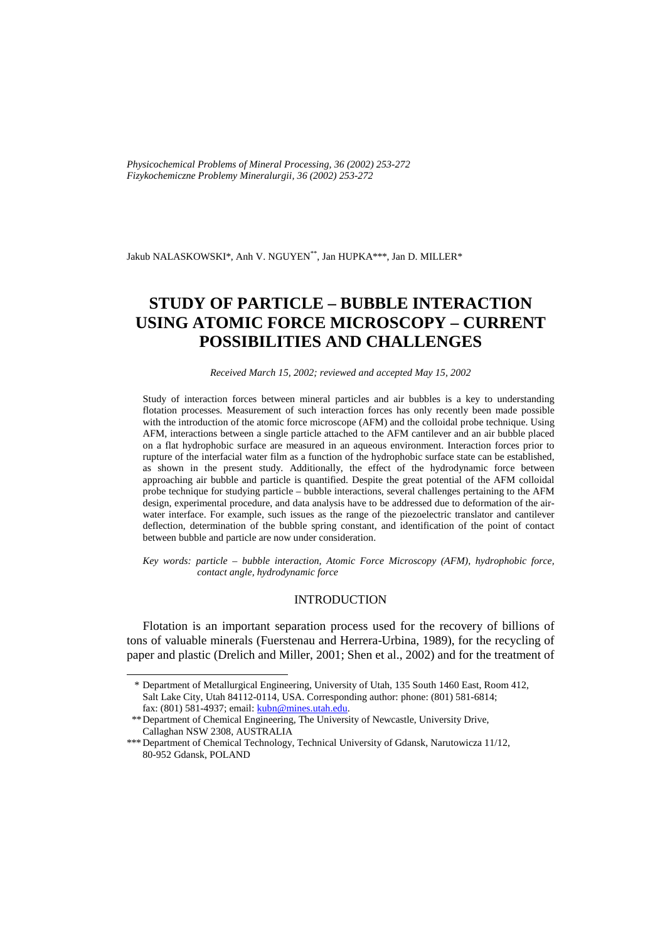*Physicochemical Problems of Mineral Processing, 36 (2002) 253-272 Fizykochemiczne Problemy Mineralurgii, 36 (2002) 253-272* 

Jakub NALASKOWSKI\*, Anh V. NGUYEN\*\*, Jan HUPKA\*\*\*, Jan D. MILLER\*

# **STUDY OF PARTICLE – BUBBLE INTERACTION USING ATOMIC FORCE MICROSCOPY – CURRENT POSSIBILITIES AND CHALLENGES**

*Received March 15, 2002; reviewed and accepted May 15, 2002* 

Study of interaction forces between mineral particles and air bubbles is a key to understanding flotation processes. Measurement of such interaction forces has only recently been made possible with the introduction of the atomic force microscope (AFM) and the colloidal probe technique. Using AFM, interactions between a single particle attached to the AFM cantilever and an air bubble placed on a flat hydrophobic surface are measured in an aqueous environment. Interaction forces prior to rupture of the interfacial water film as a function of the hydrophobic surface state can be established, as shown in the present study. Additionally, the effect of the hydrodynamic force between approaching air bubble and particle is quantified. Despite the great potential of the AFM colloidal probe technique for studying particle – bubble interactions, several challenges pertaining to the AFM design, experimental procedure, and data analysis have to be addressed due to deformation of the airwater interface. For example, such issues as the range of the piezoelectric translator and cantilever deflection, determination of the bubble spring constant, and identification of the point of contact between bubble and particle are now under consideration.

*Key words: particle – bubble interaction, Atomic Force Microscopy (AFM), hydrophobic force, contact angle, hydrodynamic force* 

## INTRODUCTION

Flotation is an important separation process used for the recovery of billions of tons of valuable minerals (Fuerstenau and Herrera-Urbina, 1989), for the recycling of paper and plastic (Drelich and Miller, 2001; Shen et al., 2002) and for the treatment of

j

 <sup>\*</sup> Department of Metallurgical Engineering, University of Utah, 135 South 1460 East, Room 412, Salt Lake City, Utah 84112-0114, USA. Corresponding author: phone: (801) 581-6814; fax: (801) 581-4937; email: kubn@mines.utah.edu.

 <sup>\*\*</sup> Department of Chemical Engineering, The University of Newcastle, University Drive, Callaghan NSW 2308, AUSTRALIA

<sup>\*\*\*</sup> Department of Chemical Technology, Technical University of Gdansk, Narutowicza 11/12, 80-952 Gdansk, POLAND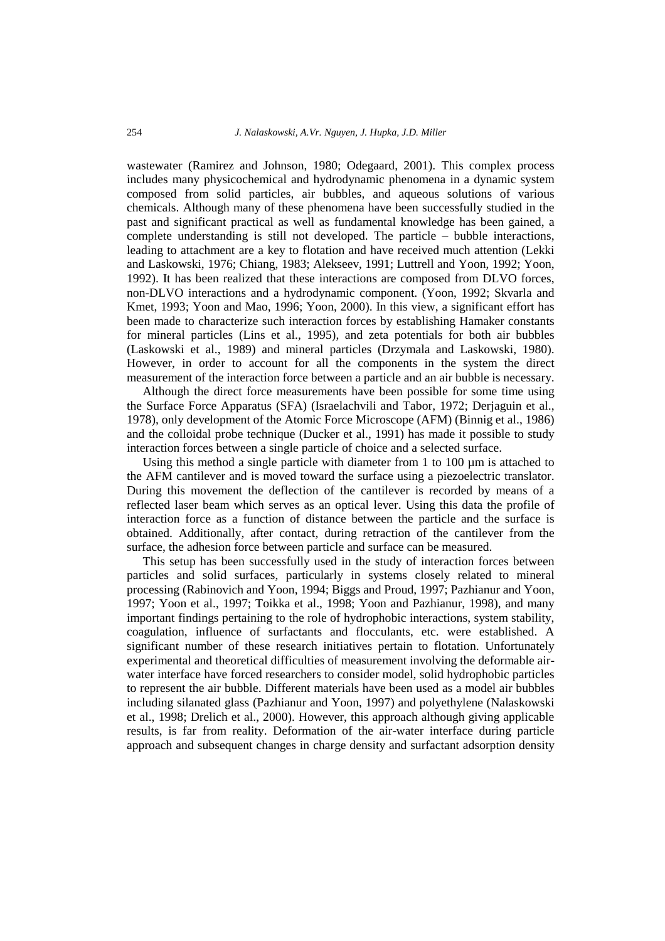wastewater (Ramirez and Johnson, 1980; Odegaard, 2001). This complex process includes many physicochemical and hydrodynamic phenomena in a dynamic system composed from solid particles, air bubbles, and aqueous solutions of various chemicals. Although many of these phenomena have been successfully studied in the past and significant practical as well as fundamental knowledge has been gained, a complete understanding is still not developed. The particle – bubble interactions, leading to attachment are a key to flotation and have received much attention (Lekki and Laskowski, 1976; Chiang, 1983; Alekseev, 1991; Luttrell and Yoon, 1992; Yoon, 1992). It has been realized that these interactions are composed from DLVO forces, non-DLVO interactions and a hydrodynamic component. (Yoon, 1992; Skvarla and Kmet, 1993; Yoon and Mao, 1996; Yoon, 2000). In this view, a significant effort has been made to characterize such interaction forces by establishing Hamaker constants for mineral particles (Lins et al., 1995), and zeta potentials for both air bubbles (Laskowski et al., 1989) and mineral particles (Drzymala and Laskowski, 1980). However, in order to account for all the components in the system the direct measurement of the interaction force between a particle and an air bubble is necessary.

Although the direct force measurements have been possible for some time using the Surface Force Apparatus (SFA) (Israelachvili and Tabor, 1972; Derjaguin et al., 1978), only development of the Atomic Force Microscope (AFM) (Binnig et al., 1986) and the colloidal probe technique (Ducker et al., 1991) has made it possible to study interaction forces between a single particle of choice and a selected surface.

Using this method a single particle with diameter from 1 to 100  $\mu$ m is attached to the AFM cantilever and is moved toward the surface using a piezoelectric translator. During this movement the deflection of the cantilever is recorded by means of a reflected laser beam which serves as an optical lever. Using this data the profile of interaction force as a function of distance between the particle and the surface is obtained. Additionally, after contact, during retraction of the cantilever from the surface, the adhesion force between particle and surface can be measured.

This setup has been successfully used in the study of interaction forces between particles and solid surfaces, particularly in systems closely related to mineral processing (Rabinovich and Yoon, 1994; Biggs and Proud, 1997; Pazhianur and Yoon, 1997; Yoon et al., 1997; Toikka et al., 1998; Yoon and Pazhianur, 1998), and many important findings pertaining to the role of hydrophobic interactions, system stability, coagulation, influence of surfactants and flocculants, etc. were established. A significant number of these research initiatives pertain to flotation. Unfortunately experimental and theoretical difficulties of measurement involving the deformable airwater interface have forced researchers to consider model, solid hydrophobic particles to represent the air bubble. Different materials have been used as a model air bubbles including silanated glass (Pazhianur and Yoon, 1997) and polyethylene (Nalaskowski et al., 1998; Drelich et al., 2000). However, this approach although giving applicable results, is far from reality. Deformation of the air-water interface during particle approach and subsequent changes in charge density and surfactant adsorption density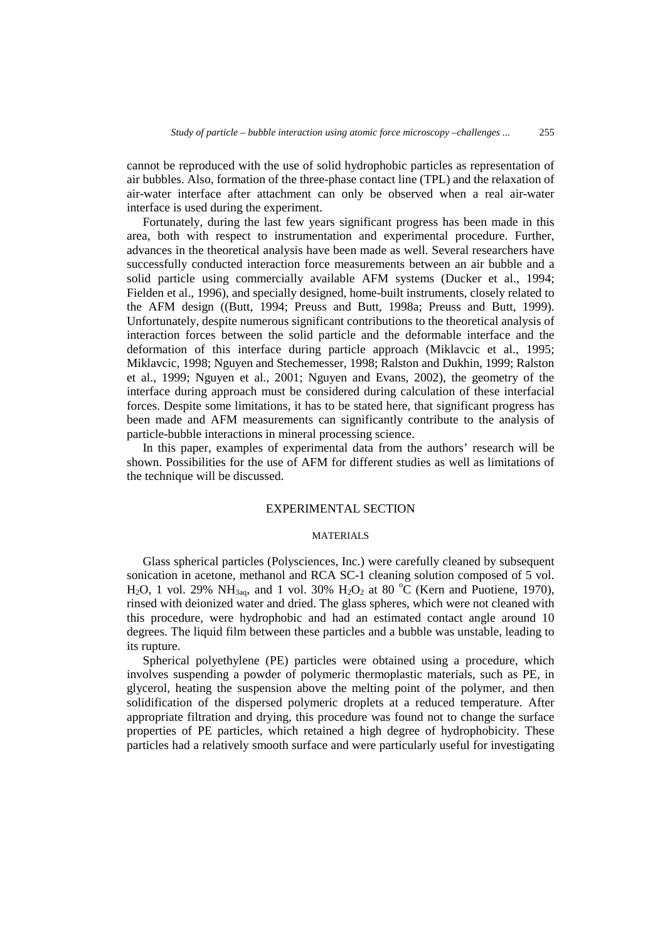cannot be reproduced with the use of solid hydrophobic particles as representation of air bubbles. Also, formation of the three-phase contact line (TPL) and the relaxation of air-water interface after attachment can only be observed when a real air-water interface is used during the experiment.

Fortunately, during the last few years significant progress has been made in this area, both with respect to instrumentation and experimental procedure. Further, advances in the theoretical analysis have been made as well. Several researchers have successfully conducted interaction force measurements between an air bubble and a solid particle using commercially available AFM systems (Ducker et al., 1994; Fielden et al., 1996), and specially designed, home-built instruments, closely related to the AFM design ((Butt, 1994; Preuss and Butt, 1998a; Preuss and Butt, 1999). Unfortunately, despite numerous significant contributions to the theoretical analysis of interaction forces between the solid particle and the deformable interface and the deformation of this interface during particle approach (Miklavcic et al., 1995; Miklavcic, 1998; Nguyen and Stechemesser, 1998; Ralston and Dukhin, 1999; Ralston et al., 1999; Nguyen et al., 2001; Nguyen and Evans, 2002), the geometry of the interface during approach must be considered during calculation of these interfacial forces. Despite some limitations, it has to be stated here, that significant progress has been made and AFM measurements can significantly contribute to the analysis of particle-bubble interactions in mineral processing science.

In this paper, examples of experimental data from the authors' research will be shown. Possibilities for the use of AFM for different studies as well as limitations of the technique will be discussed.

## EXPERIMENTAL SECTION

### MATERIALS

Glass spherical particles (Polysciences, Inc.) were carefully cleaned by subsequent sonication in acetone, methanol and RCA SC-1 cleaning solution composed of 5 vol. H<sub>2</sub>O, 1 vol. 29% NH<sub>3aq</sub>, and 1 vol. 30% H<sub>2</sub>O<sub>2</sub> at 80 °C (Kern and Puotiene, 1970), rinsed with deionized water and dried. The glass spheres, which were not cleaned with this procedure, were hydrophobic and had an estimated contact angle around 10 degrees. The liquid film between these particles and a bubble was unstable, leading to its rupture.

Spherical polyethylene (PE) particles were obtained using a procedure, which involves suspending a powder of polymeric thermoplastic materials, such as PE, in glycerol, heating the suspension above the melting point of the polymer, and then solidification of the dispersed polymeric droplets at a reduced temperature. After appropriate filtration and drying, this procedure was found not to change the surface properties of PE particles, which retained a high degree of hydrophobicity. These particles had a relatively smooth surface and were particularly useful for investigating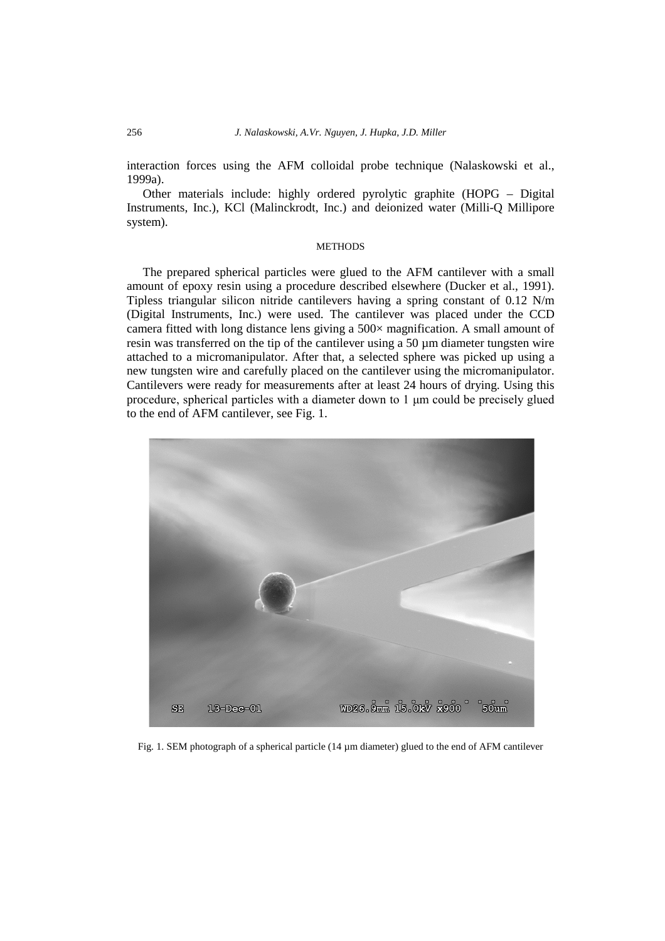interaction forces using the AFM colloidal probe technique (Nalaskowski et al., 1999a).

Other materials include: highly ordered pyrolytic graphite (HOPG – Digital Instruments, Inc.), KCl (Malinckrodt, Inc.) and deionized water (Milli-Q Millipore system).

## **METHODS**

The prepared spherical particles were glued to the AFM cantilever with a small amount of epoxy resin using a procedure described elsewhere (Ducker et al., 1991). Tipless triangular silicon nitride cantilevers having a spring constant of 0.12 N/m (Digital Instruments, Inc.) were used. The cantilever was placed under the CCD camera fitted with long distance lens giving a 500× magnification. A small amount of resin was transferred on the tip of the cantilever using a 50 µm diameter tungsten wire attached to a micromanipulator. After that, a selected sphere was picked up using a new tungsten wire and carefully placed on the cantilever using the micromanipulator. Cantilevers were ready for measurements after at least 24 hours of drying. Using this procedure, spherical particles with a diameter down to 1 μm could be precisely glued to the end of AFM cantilever, see Fig. 1.



Fig. 1. SEM photograph of a spherical particle (14 µm diameter) glued to the end of AFM cantilever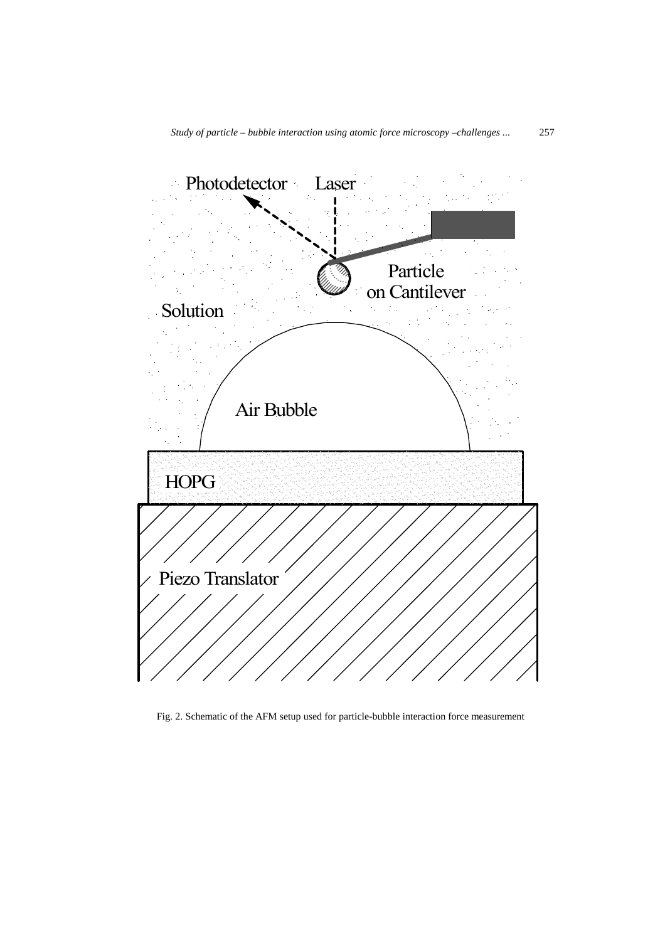

Fig. 2. Schematic of the AFM setup used for particle-bubble interaction force measurement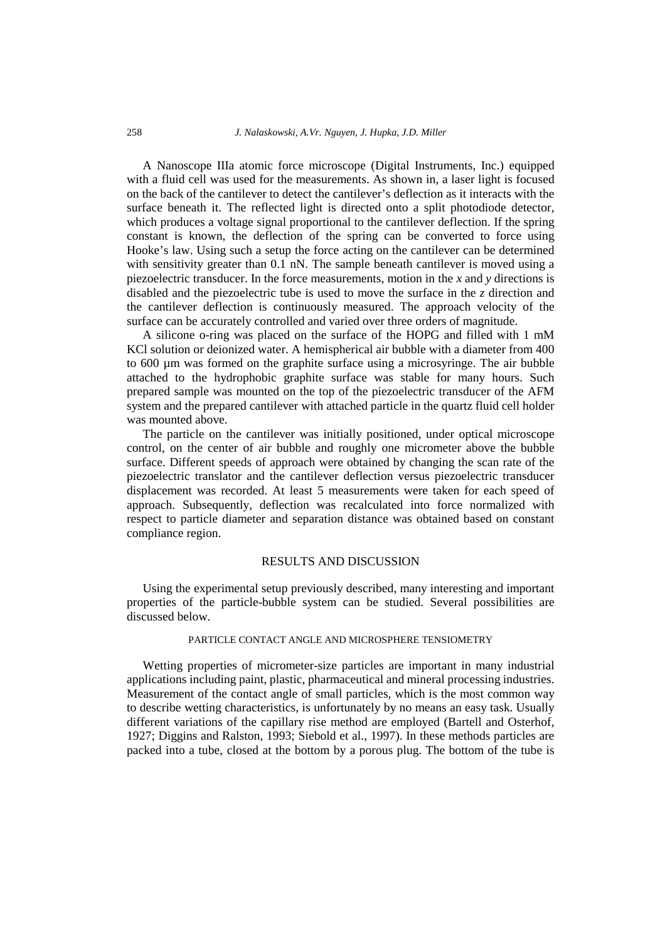A Nanoscope IIIa atomic force microscope (Digital Instruments, Inc.) equipped with a fluid cell was used for the measurements. As shown in, a laser light is focused on the back of the cantilever to detect the cantilever's deflection as it interacts with the surface beneath it. The reflected light is directed onto a split photodiode detector, which produces a voltage signal proportional to the cantilever deflection. If the spring constant is known, the deflection of the spring can be converted to force using Hooke's law. Using such a setup the force acting on the cantilever can be determined with sensitivity greater than 0.1 nN. The sample beneath cantilever is moved using a piezoelectric transducer. In the force measurements, motion in the *x* and *y* directions is disabled and the piezoelectric tube is used to move the surface in the *z* direction and the cantilever deflection is continuously measured. The approach velocity of the surface can be accurately controlled and varied over three orders of magnitude.

A silicone o-ring was placed on the surface of the HOPG and filled with 1 mM KCl solution or deionized water. A hemispherical air bubble with a diameter from 400 to 600 µm was formed on the graphite surface using a microsyringe. The air bubble attached to the hydrophobic graphite surface was stable for many hours. Such prepared sample was mounted on the top of the piezoelectric transducer of the AFM system and the prepared cantilever with attached particle in the quartz fluid cell holder was mounted above.

The particle on the cantilever was initially positioned, under optical microscope control, on the center of air bubble and roughly one micrometer above the bubble surface. Different speeds of approach were obtained by changing the scan rate of the piezoelectric translator and the cantilever deflection versus piezoelectric transducer displacement was recorded. At least 5 measurements were taken for each speed of approach. Subsequently, deflection was recalculated into force normalized with respect to particle diameter and separation distance was obtained based on constant compliance region.

## RESULTS AND DISCUSSION

Using the experimental setup previously described, many interesting and important properties of the particle-bubble system can be studied. Several possibilities are discussed below.

### PARTICLE CONTACT ANGLE AND MICROSPHERE TENSIOMETRY

Wetting properties of micrometer-size particles are important in many industrial applications including paint, plastic, pharmaceutical and mineral processing industries. Measurement of the contact angle of small particles, which is the most common way to describe wetting characteristics, is unfortunately by no means an easy task. Usually different variations of the capillary rise method are employed (Bartell and Osterhof, 1927; Diggins and Ralston, 1993; Siebold et al., 1997). In these methods particles are packed into a tube, closed at the bottom by a porous plug. The bottom of the tube is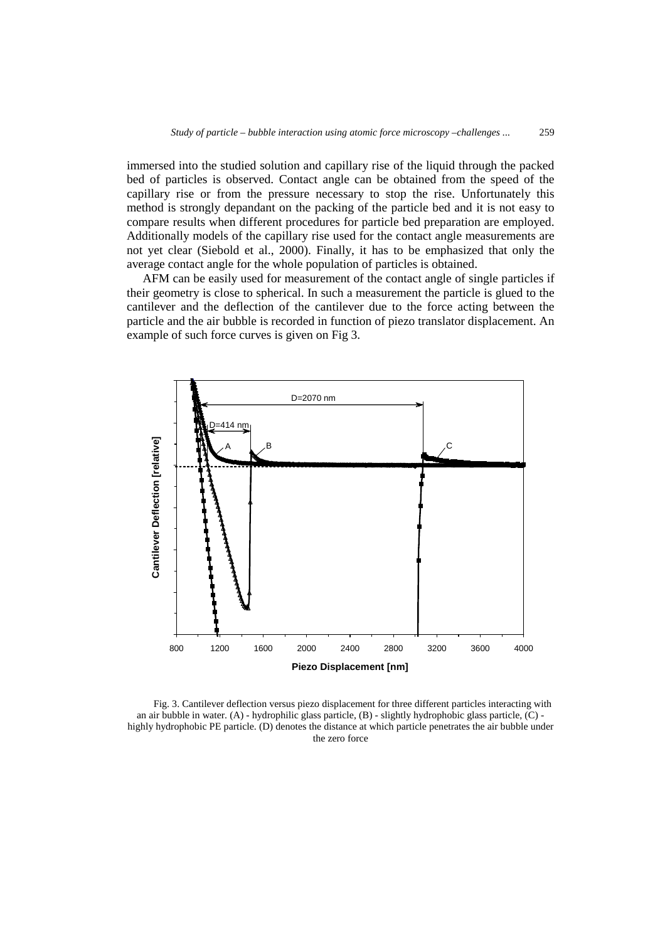immersed into the studied solution and capillary rise of the liquid through the packed bed of particles is observed. Contact angle can be obtained from the speed of the capillary rise or from the pressure necessary to stop the rise. Unfortunately this method is strongly depandant on the packing of the particle bed and it is not easy to compare results when different procedures for particle bed preparation are employed. Additionally models of the capillary rise used for the contact angle measurements are not yet clear (Siebold et al., 2000). Finally, it has to be emphasized that only the average contact angle for the whole population of particles is obtained.

AFM can be easily used for measurement of the contact angle of single particles if their geometry is close to spherical. In such a measurement the particle is glued to the cantilever and the deflection of the cantilever due to the force acting between the particle and the air bubble is recorded in function of piezo translator displacement. An example of such force curves is given on Fig 3.



Fig. 3. Cantilever deflection versus piezo displacement for three different particles interacting with an air bubble in water. (A) - hydrophilic glass particle, (B) - slightly hydrophobic glass particle, (C) highly hydrophobic PE particle. (D) denotes the distance at which particle penetrates the air bubble under the zero force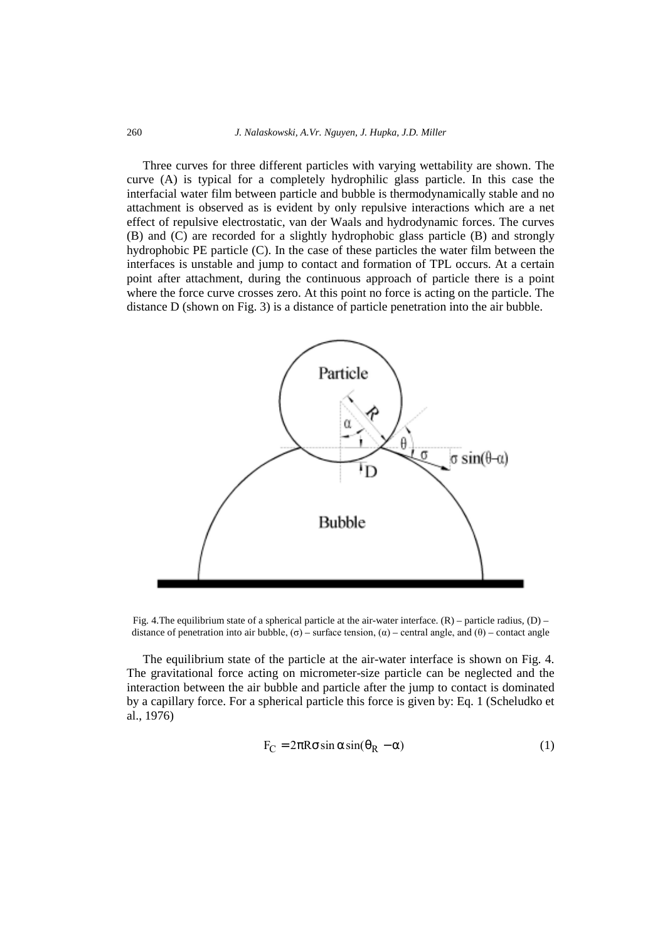Three curves for three different particles with varying wettability are shown. The curve (A) is typical for a completely hydrophilic glass particle. In this case the interfacial water film between particle and bubble is thermodynamically stable and no attachment is observed as is evident by only repulsive interactions which are a net effect of repulsive electrostatic, van der Waals and hydrodynamic forces. The curves (B) and (C) are recorded for a slightly hydrophobic glass particle (B) and strongly hydrophobic PE particle (C). In the case of these particles the water film between the interfaces is unstable and jump to contact and formation of TPL occurs. At a certain point after attachment, during the continuous approach of particle there is a point where the force curve crosses zero. At this point no force is acting on the particle. The distance D (shown on Fig. 3) is a distance of particle penetration into the air bubble.



Fig. 4. The equilibrium state of a spherical particle at the air-water interface.  $(R)$  – particle radius,  $(D)$  – distance of penetration into air bubble, (σ) – surface tension, (α) – central angle, and (θ) – contact angle

The equilibrium state of the particle at the air-water interface is shown on Fig. 4. The gravitational force acting on micrometer-size particle can be neglected and the interaction between the air bubble and particle after the jump to contact is dominated by a capillary force. For a spherical particle this force is given by: Eq. 1 (Scheludko et al., 1976)

$$
F_C = 2\pi R \sigma \sin \alpha \sin(\theta_R - \alpha)
$$
 (1)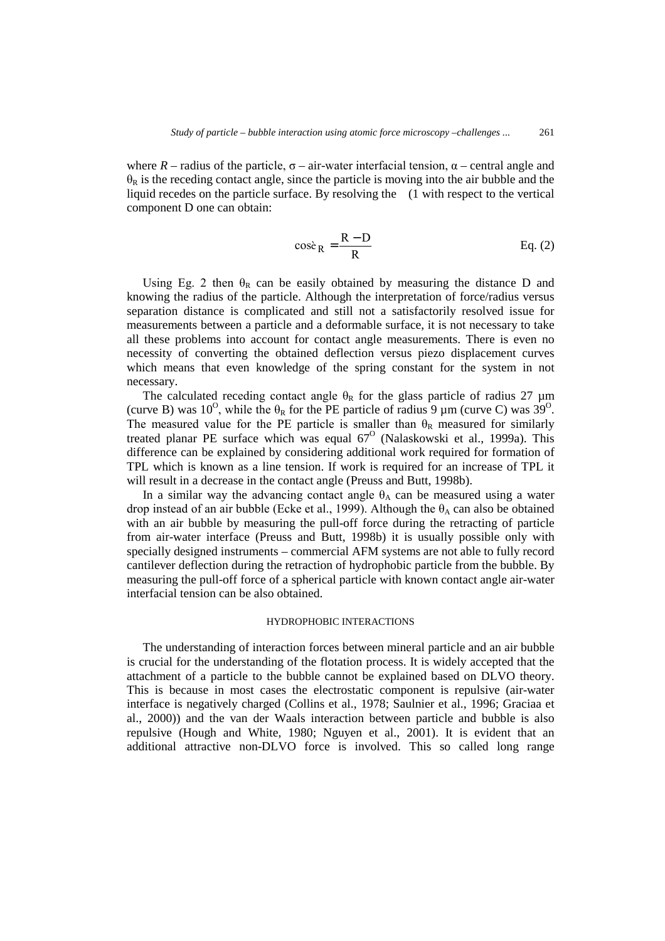where  $R$  – radius of the particle,  $\sigma$  – air-water interfacial tension,  $\alpha$  – central angle and  $\theta_R$  is the receding contact angle, since the particle is moving into the air bubble and the liquid recedes on the particle surface. By resolving the (1 with respect to the vertical component D one can obtain:

$$
\cos\hat{e}_R = \frac{R - D}{R}
$$
 Eq. (2)

Using Eg. 2 then  $\theta_R$  can be easily obtained by measuring the distance D and knowing the radius of the particle. Although the interpretation of force/radius versus separation distance is complicated and still not a satisfactorily resolved issue for measurements between a particle and a deformable surface, it is not necessary to take all these problems into account for contact angle measurements. There is even no necessity of converting the obtained deflection versus piezo displacement curves which means that even knowledge of the spring constant for the system in not necessary.

The calculated receding contact angle  $\theta_R$  for the glass particle of radius 27  $\mu$ m (curve B) was 10<sup>o</sup>, while the  $\theta_R$  for the PE particle of radius 9  $\mu$ m (curve C) was 39<sup>o</sup>. The measured value for the PE particle is smaller than  $\theta_R$  measured for similarly treated planar PE surface which was equal  $67^\circ$  (Nalaskowski et al., 1999a). This difference can be explained by considering additional work required for formation of TPL which is known as a line tension. If work is required for an increase of TPL it will result in a decrease in the contact angle (Preuss and Butt, 1998b).

In a similar way the advancing contact angle  $\theta_A$  can be measured using a water drop instead of an air bubble (Ecke et al., 1999). Although the  $\theta_A$  can also be obtained with an air bubble by measuring the pull-off force during the retracting of particle from air-water interface (Preuss and Butt, 1998b) it is usually possible only with specially designed instruments – commercial AFM systems are not able to fully record cantilever deflection during the retraction of hydrophobic particle from the bubble. By measuring the pull-off force of a spherical particle with known contact angle air-water interfacial tension can be also obtained.

## HYDROPHOBIC INTERACTIONS

The understanding of interaction forces between mineral particle and an air bubble is crucial for the understanding of the flotation process. It is widely accepted that the attachment of a particle to the bubble cannot be explained based on DLVO theory. This is because in most cases the electrostatic component is repulsive (air-water interface is negatively charged (Collins et al., 1978; Saulnier et al., 1996; Graciaa et al., 2000)) and the van der Waals interaction between particle and bubble is also repulsive (Hough and White, 1980; Nguyen et al., 2001). It is evident that an additional attractive non-DLVO force is involved. This so called long range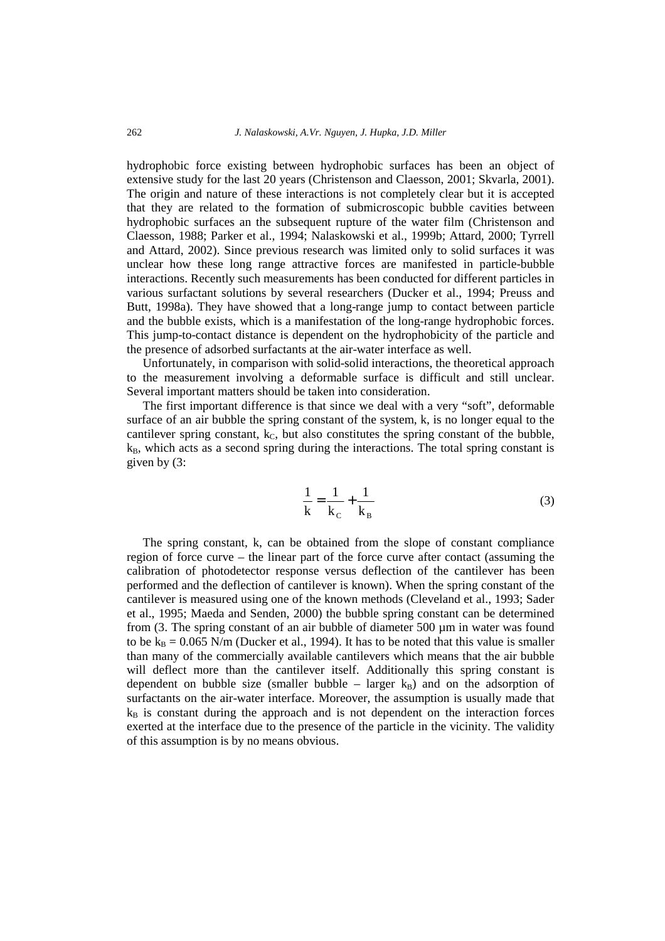hydrophobic force existing between hydrophobic surfaces has been an object of extensive study for the last 20 years (Christenson and Claesson, 2001; Skvarla, 2001). The origin and nature of these interactions is not completely clear but it is accepted that they are related to the formation of submicroscopic bubble cavities between hydrophobic surfaces an the subsequent rupture of the water film (Christenson and Claesson, 1988; Parker et al., 1994; Nalaskowski et al., 1999b; Attard, 2000; Tyrrell and Attard, 2002). Since previous research was limited only to solid surfaces it was unclear how these long range attractive forces are manifested in particle-bubble interactions. Recently such measurements has been conducted for different particles in various surfactant solutions by several researchers (Ducker et al., 1994; Preuss and Butt, 1998a). They have showed that a long-range jump to contact between particle and the bubble exists, which is a manifestation of the long-range hydrophobic forces. This jump-to-contact distance is dependent on the hydrophobicity of the particle and the presence of adsorbed surfactants at the air-water interface as well.

Unfortunately, in comparison with solid-solid interactions, the theoretical approach to the measurement involving a deformable surface is difficult and still unclear. Several important matters should be taken into consideration.

The first important difference is that since we deal with a very "soft", deformable surface of an air bubble the spring constant of the system, k, is no longer equal to the cantilever spring constant,  $k<sub>C</sub>$ , but also constitutes the spring constant of the bubble,  $k_B$ , which acts as a second spring during the interactions. The total spring constant is given by (3:

$$
\frac{1}{k} = \frac{1}{k_{\rm c}} + \frac{1}{k_{\rm B}}
$$
 (3)

The spring constant, k, can be obtained from the slope of constant compliance region of force curve – the linear part of the force curve after contact (assuming the calibration of photodetector response versus deflection of the cantilever has been performed and the deflection of cantilever is known). When the spring constant of the cantilever is measured using one of the known methods (Cleveland et al., 1993; Sader et al., 1995; Maeda and Senden, 2000) the bubble spring constant can be determined from (3. The spring constant of an air bubble of diameter 500 µm in water was found to be  $k_B = 0.065$  N/m (Ducker et al., 1994). It has to be noted that this value is smaller than many of the commercially available cantilevers which means that the air bubble will deflect more than the cantilever itself. Additionally this spring constant is dependent on bubble size (smaller bubble – larger  $k_B$ ) and on the adsorption of surfactants on the air-water interface. Moreover, the assumption is usually made that  $k_B$  is constant during the approach and is not dependent on the interaction forces exerted at the interface due to the presence of the particle in the vicinity. The validity of this assumption is by no means obvious.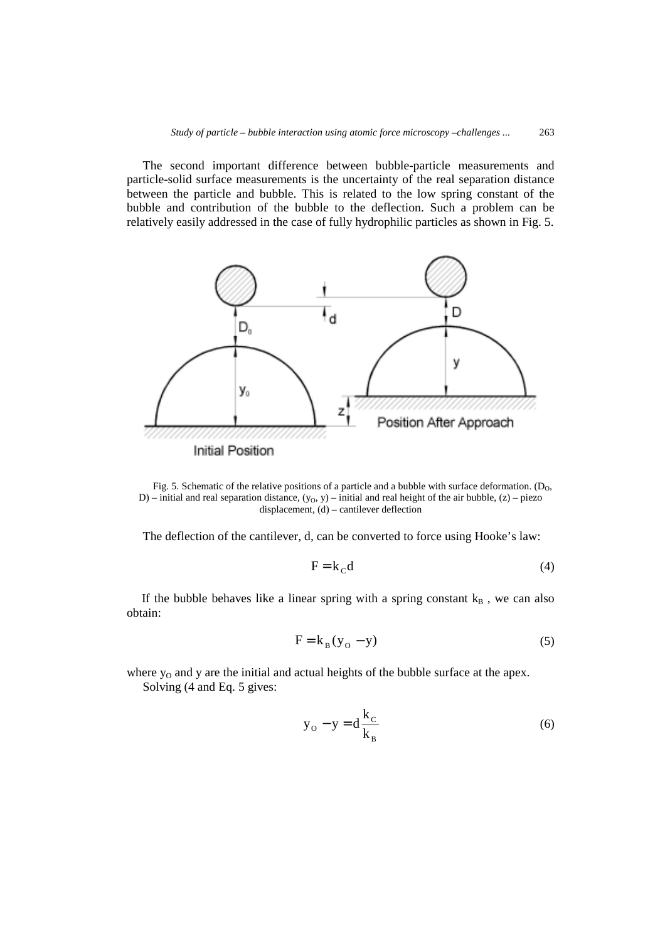The second important difference between bubble-particle measurements and particle-solid surface measurements is the uncertainty of the real separation distance between the particle and bubble. This is related to the low spring constant of the bubble and contribution of the bubble to the deflection. Such a problem can be relatively easily addressed in the case of fully hydrophilic particles as shown in Fig. 5.



Fig. 5. Schematic of the relative positions of a particle and a bubble with surface deformation. ( $D_0$ , D) – initial and real separation distance,  $(y_0, y)$  – initial and real height of the air bubble, (z) – piezo displacement, (d) – cantilever deflection

The deflection of the cantilever, d, can be converted to force using Hooke's law:

$$
F = k_C d \tag{4}
$$

If the bubble behaves like a linear spring with a spring constant  $k_B$ , we can also obtain:

$$
F = k_B (y_0 - y) \tag{5}
$$

where  $y_0$  and  $y$  are the initial and actual heights of the bubble surface at the apex. Solving (4 and Eq. 5 gives:

$$
y_o - y = d \frac{k_c}{k_B}
$$
 (6)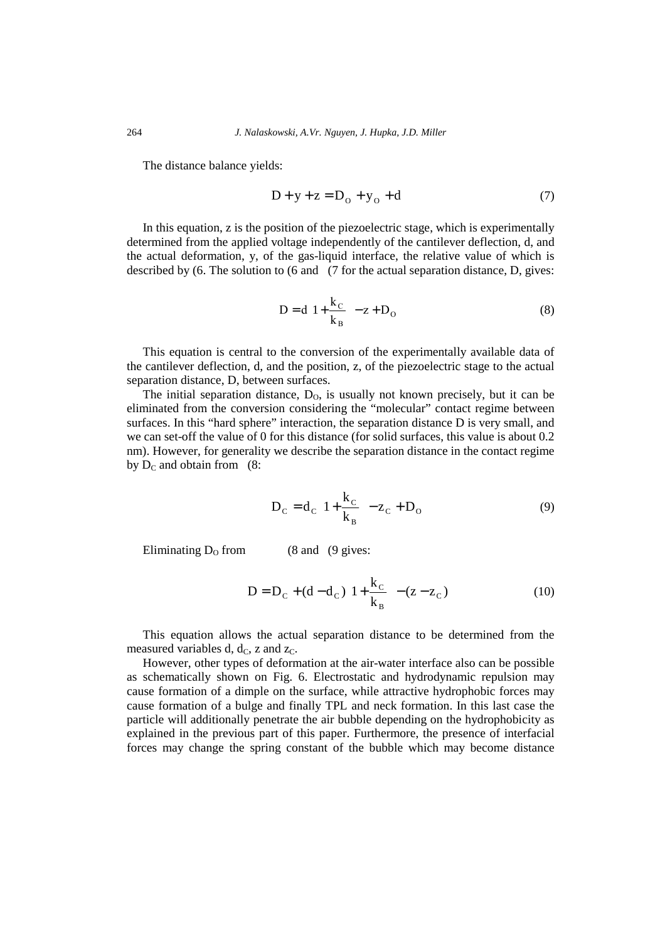The distance balance yields:

$$
D + y + z = D_0 + y_0 + d \tag{7}
$$

In this equation, z is the position of the piezoelectric stage, which is experimentally determined from the applied voltage independently of the cantilever deflection, d, and the actual deformation, y, of the gas-liquid interface, the relative value of which is described by (6. The solution to (6 and (7 for the actual separation distance, D, gives:

$$
D = d \left( 1 + \frac{k_C}{k_B} \right) - z + D_O \tag{8}
$$

This equation is central to the conversion of the experimentally available data of the cantilever deflection, d, and the position, z, of the piezoelectric stage to the actual separation distance, D, between surfaces.

The initial separation distance,  $D_0$ , is usually not known precisely, but it can be eliminated from the conversion considering the "molecular" contact regime between surfaces. In this "hard sphere" interaction, the separation distance D is very small, and we can set-off the value of 0 for this distance (for solid surfaces, this value is about 0.2 nm). However, for generality we describe the separation distance in the contact regime by  $D_C$  and obtain from (8:

$$
D_{C} = d_{C} \left( 1 + \frac{k_{C}}{k_{B}} \right) - z_{C} + D_{O}
$$
 (9)

Eliminating  $D_0$  from (8 and (9 gives:

$$
D = D_C + (d - d_C) \left( 1 + \frac{k_C}{k_B} \right) - (z - z_C)
$$
 (10)

This equation allows the actual separation distance to be determined from the measured variables d,  $d<sub>C</sub>$ , z and  $z<sub>C</sub>$ .

However, other types of deformation at the air-water interface also can be possible as schematically shown on Fig. 6. Electrostatic and hydrodynamic repulsion may cause formation of a dimple on the surface, while attractive hydrophobic forces may cause formation of a bulge and finally TPL and neck formation. In this last case the particle will additionally penetrate the air bubble depending on the hydrophobicity as explained in the previous part of this paper. Furthermore, the presence of interfacial forces may change the spring constant of the bubble which may become distance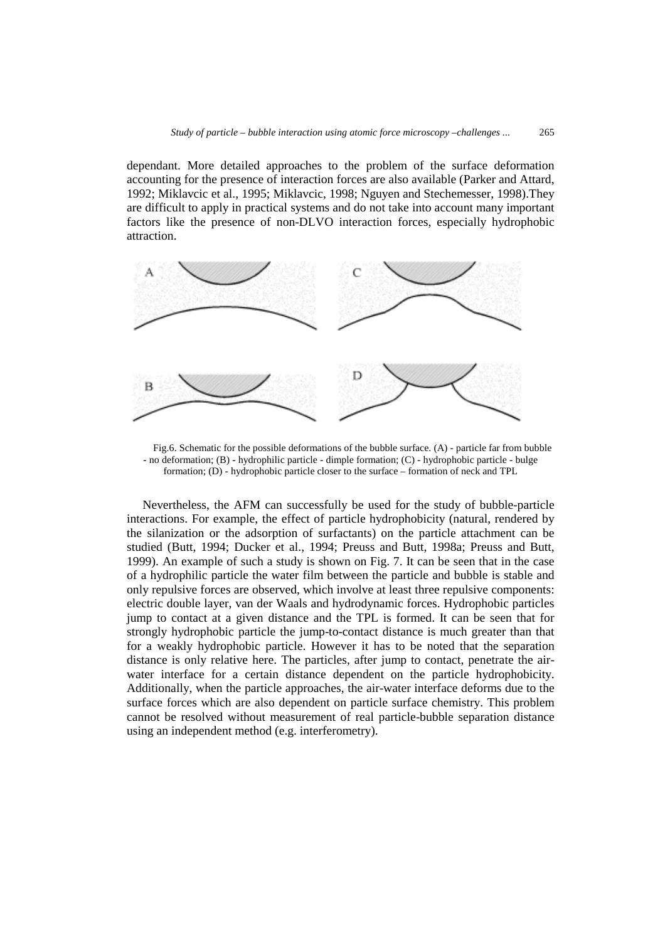dependant. More detailed approaches to the problem of the surface deformation accounting for the presence of interaction forces are also available (Parker and Attard, 1992; Miklavcic et al., 1995; Miklavcic, 1998; Nguyen and Stechemesser, 1998).They are difficult to apply in practical systems and do not take into account many important factors like the presence of non-DLVO interaction forces, especially hydrophobic attraction.



Fig.6. Schematic for the possible deformations of the bubble surface. (A) - particle far from bubble - no deformation; (B) - hydrophilic particle - dimple formation; (C) - hydrophobic particle - bulge formation; (D) - hydrophobic particle closer to the surface – formation of neck and TPL

Nevertheless, the AFM can successfully be used for the study of bubble-particle interactions. For example, the effect of particle hydrophobicity (natural, rendered by the silanization or the adsorption of surfactants) on the particle attachment can be studied (Butt, 1994; Ducker et al., 1994; Preuss and Butt, 1998a; Preuss and Butt, 1999). An example of such a study is shown on Fig. 7. It can be seen that in the case of a hydrophilic particle the water film between the particle and bubble is stable and only repulsive forces are observed, which involve at least three repulsive components: electric double layer, van der Waals and hydrodynamic forces. Hydrophobic particles jump to contact at a given distance and the TPL is formed. It can be seen that for strongly hydrophobic particle the jump-to-contact distance is much greater than that for a weakly hydrophobic particle. However it has to be noted that the separation distance is only relative here. The particles, after jump to contact, penetrate the airwater interface for a certain distance dependent on the particle hydrophobicity. Additionally, when the particle approaches, the air-water interface deforms due to the surface forces which are also dependent on particle surface chemistry. This problem cannot be resolved without measurement of real particle-bubble separation distance using an independent method (e.g. interferometry).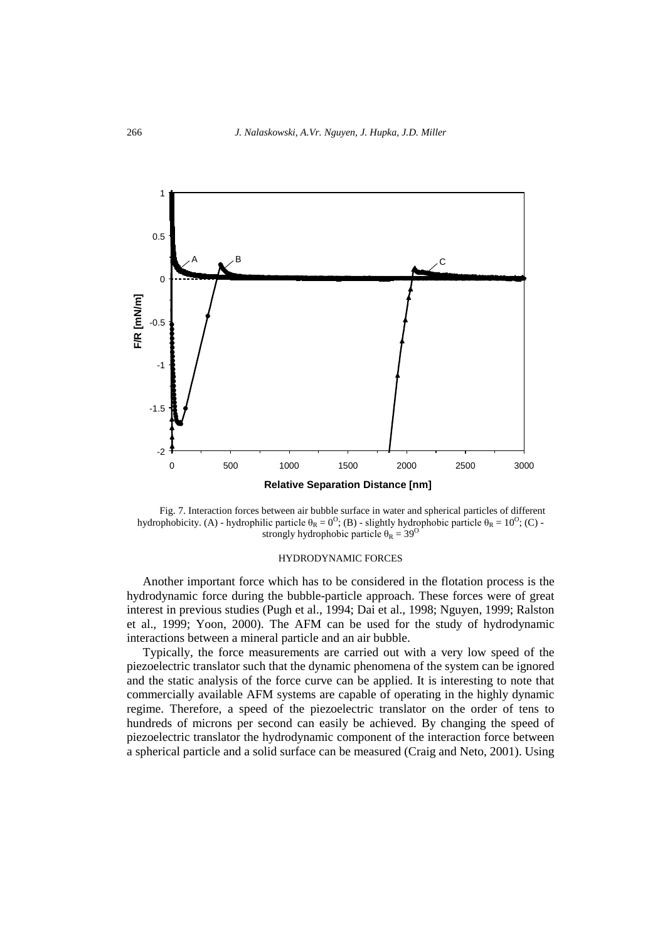

Fig. 7. Interaction forces between air bubble surface in water and spherical particles of different hydrophobicity. (A) - hydrophilic particle  $\theta_R = 0^{\circ}$ ; (B) - slightly hydrophobic particle  $\theta_R = 10^{\circ}$ ; (C) strongly hydrophobic particle  $\theta_R = 39^\circ$ 

#### HYDRODYNAMIC FORCES

Another important force which has to be considered in the flotation process is the hydrodynamic force during the bubble-particle approach. These forces were of great interest in previous studies (Pugh et al., 1994; Dai et al., 1998; Nguyen, 1999; Ralston et al., 1999; Yoon, 2000). The AFM can be used for the study of hydrodynamic interactions between a mineral particle and an air bubble.

Typically, the force measurements are carried out with a very low speed of the piezoelectric translator such that the dynamic phenomena of the system can be ignored and the static analysis of the force curve can be applied. It is interesting to note that commercially available AFM systems are capable of operating in the highly dynamic regime. Therefore, a speed of the piezoelectric translator on the order of tens to hundreds of microns per second can easily be achieved. By changing the speed of piezoelectric translator the hydrodynamic component of the interaction force between a spherical particle and a solid surface can be measured (Craig and Neto, 2001). Using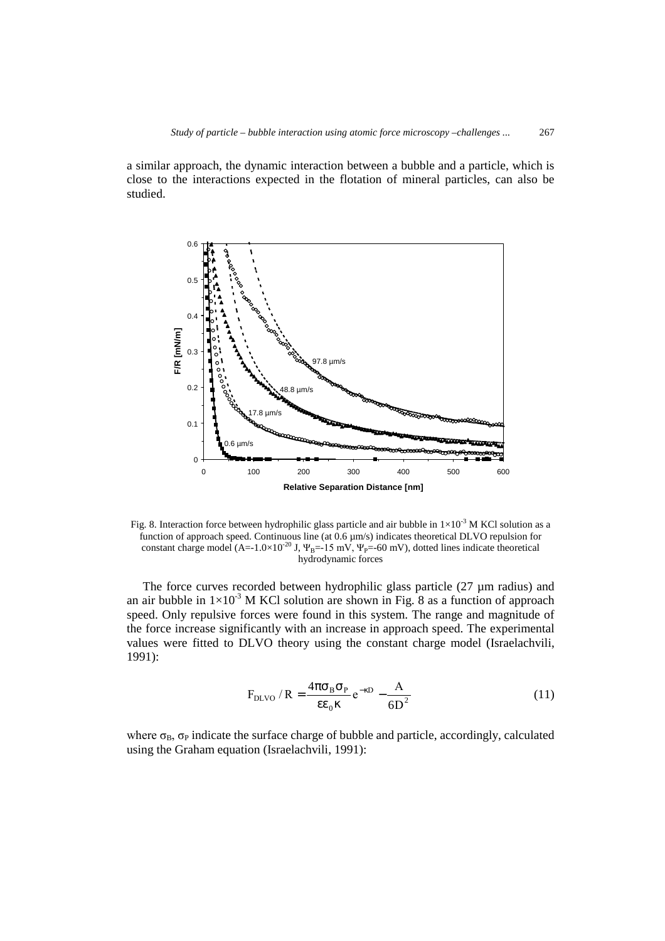a similar approach, the dynamic interaction between a bubble and a particle, which is close to the interactions expected in the flotation of mineral particles, can also be studied.



Fig. 8. Interaction force between hydrophilic glass particle and air bubble in  $1\times10^{-3}$  M KCl solution as a function of approach speed. Continuous line (at  $0.6 \mu m/s$ ) indicates theoretical DLVO repulsion for constant charge model (A=-1.0×10<sup>-20</sup> J,  $\Psi_B$ =-15 mV,  $\Psi_p$ =-60 mV), dotted lines indicate theoretical hydrodynamic forces

The force curves recorded between hydrophilic glass particle  $(27 \mu m)$  radius) and an air bubble in  $1\times10^{-3}$  M KCl solution are shown in Fig. 8 as a function of approach speed. Only repulsive forces were found in this system. The range and magnitude of the force increase significantly with an increase in approach speed. The experimental values were fitted to DLVO theory using the constant charge model (Israelachvili, 1991):

$$
F_{\text{DLVO}}/R = \frac{4\pi\sigma_B\sigma_P}{\epsilon\epsilon_0\kappa}e^{-\kappa D} - \frac{A}{6D^2}
$$
 (11)

where  $\sigma_B$ ,  $\sigma_P$  indicate the surface charge of bubble and particle, accordingly, calculated using the Graham equation (Israelachvili, 1991):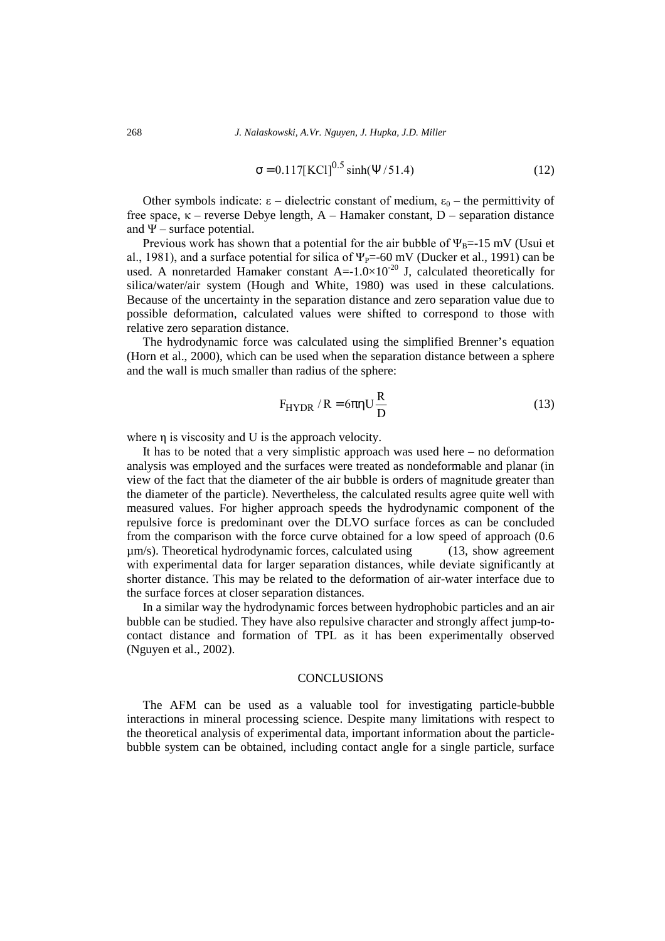$$
\sigma = 0.117 [KCl]^{0.5} \sinh(\Psi/51.4)
$$
 (12)

Other symbols indicate: ε – dielectric constant of medium,  $ε_0$  – the permittivity of free space,  $\kappa$  – reverse Debye length, A – Hamaker constant, D – separation distance and  $\Psi$  – surface potential.

Previous work has shown that a potential for the air bubble of  $\Psi_B=15$  mV (Usui et al., 1981), and a surface potential for silica of  $\Psi_{P}$ =-60 mV (Ducker et al., 1991) can be used. A nonretarded Hamaker constant  $A = -1.0 \times 10^{-20}$  J, calculated theoretically for silica/water/air system (Hough and White, 1980) was used in these calculations. Because of the uncertainty in the separation distance and zero separation value due to possible deformation, calculated values were shifted to correspond to those with relative zero separation distance.

The hydrodynamic force was calculated using the simplified Brenner's equation (Horn et al., 2000), which can be used when the separation distance between a sphere and the wall is much smaller than radius of the sphere:

$$
F_{HYDR} / R = 6\pi \eta U \frac{R}{D}
$$
 (13)

where η is viscosity and U is the approach velocity.

It has to be noted that a very simplistic approach was used here – no deformation analysis was employed and the surfaces were treated as nondeformable and planar (in view of the fact that the diameter of the air bubble is orders of magnitude greater than the diameter of the particle). Nevertheless, the calculated results agree quite well with measured values. For higher approach speeds the hydrodynamic component of the repulsive force is predominant over the DLVO surface forces as can be concluded from the comparison with the force curve obtained for a low speed of approach (0.6 µm/s). Theoretical hydrodynamic forces, calculated using (13, show agreement with experimental data for larger separation distances, while deviate significantly at shorter distance. This may be related to the deformation of air-water interface due to the surface forces at closer separation distances.

In a similar way the hydrodynamic forces between hydrophobic particles and an air bubble can be studied. They have also repulsive character and strongly affect jump-tocontact distance and formation of TPL as it has been experimentally observed (Nguyen et al., 2002).

# **CONCLUSIONS**

The AFM can be used as a valuable tool for investigating particle-bubble interactions in mineral processing science. Despite many limitations with respect to the theoretical analysis of experimental data, important information about the particlebubble system can be obtained, including contact angle for a single particle, surface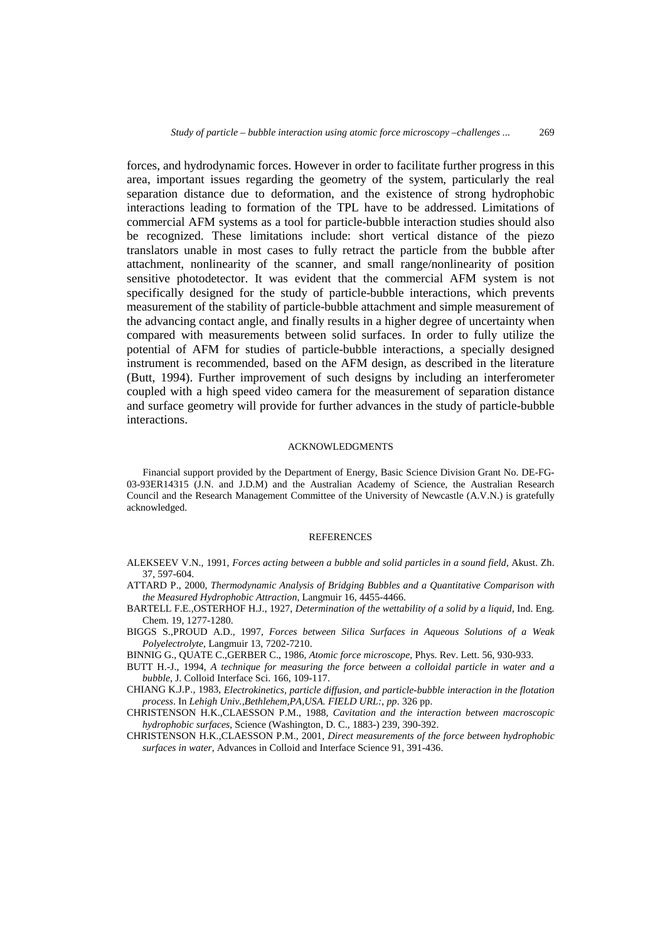forces, and hydrodynamic forces. However in order to facilitate further progress in this area, important issues regarding the geometry of the system, particularly the real separation distance due to deformation, and the existence of strong hydrophobic interactions leading to formation of the TPL have to be addressed. Limitations of commercial AFM systems as a tool for particle-bubble interaction studies should also be recognized. These limitations include: short vertical distance of the piezo translators unable in most cases to fully retract the particle from the bubble after attachment, nonlinearity of the scanner, and small range/nonlinearity of position sensitive photodetector. It was evident that the commercial AFM system is not specifically designed for the study of particle-bubble interactions, which prevents measurement of the stability of particle-bubble attachment and simple measurement of the advancing contact angle, and finally results in a higher degree of uncertainty when compared with measurements between solid surfaces. In order to fully utilize the potential of AFM for studies of particle-bubble interactions, a specially designed instrument is recommended, based on the AFM design, as described in the literature (Butt, 1994). Further improvement of such designs by including an interferometer coupled with a high speed video camera for the measurement of separation distance and surface geometry will provide for further advances in the study of particle-bubble interactions.

## ACKNOWLEDGMENTS

Financial support provided by the Department of Energy, Basic Science Division Grant No. DE-FG-03-93ER14315 (J.N. and J.D.M) and the Australian Academy of Science, the Australian Research Council and the Research Management Committee of the University of Newcastle (A.V.N.) is gratefully acknowledged.

#### **REFERENCES**

- ALEKSEEV V.N., 1991, *Forces acting between a bubble and solid particles in a sound field*, Akust. Zh. 37, 597-604.
- ATTARD P., 2000, *Thermodynamic Analysis of Bridging Bubbles and a Quantitative Comparison with the Measured Hydrophobic Attraction*, Langmuir 16, 4455-4466.
- BARTELL F.E.,OSTERHOF H.J., 1927, *Determination of the wettability of a solid by a liquid*, Ind. Eng. Chem. 19, 1277-1280.
- BIGGS S.,PROUD A.D., 1997, *Forces between Silica Surfaces in Aqueous Solutions of a Weak Polyelectrolyte*, Langmuir 13, 7202-7210.
- BINNIG G., QUATE C.,GERBER C., 1986, *Atomic force microscope*, Phys. Rev. Lett. 56, 930-933.
- BUTT H.-J., 1994, *A technique for measuring the force between a colloidal particle in water and a bubble*, J. Colloid Interface Sci. 166, 109-117.
- CHIANG K.J.P., 1983, *Electrokinetics, particle diffusion, and particle-bubble interaction in the flotation process*. In *Lehigh Univ.,Bethlehem,PA,USA. FIELD URL:*, *pp*. 326 pp.
- CHRISTENSON H.K.,CLAESSON P.M., 1988, *Cavitation and the interaction between macroscopic hydrophobic surfaces*, Science (Washington, D. C., 1883-) 239, 390-392.
- CHRISTENSON H.K.,CLAESSON P.M., 2001, *Direct measurements of the force between hydrophobic surfaces in water*, Advances in Colloid and Interface Science 91, 391-436.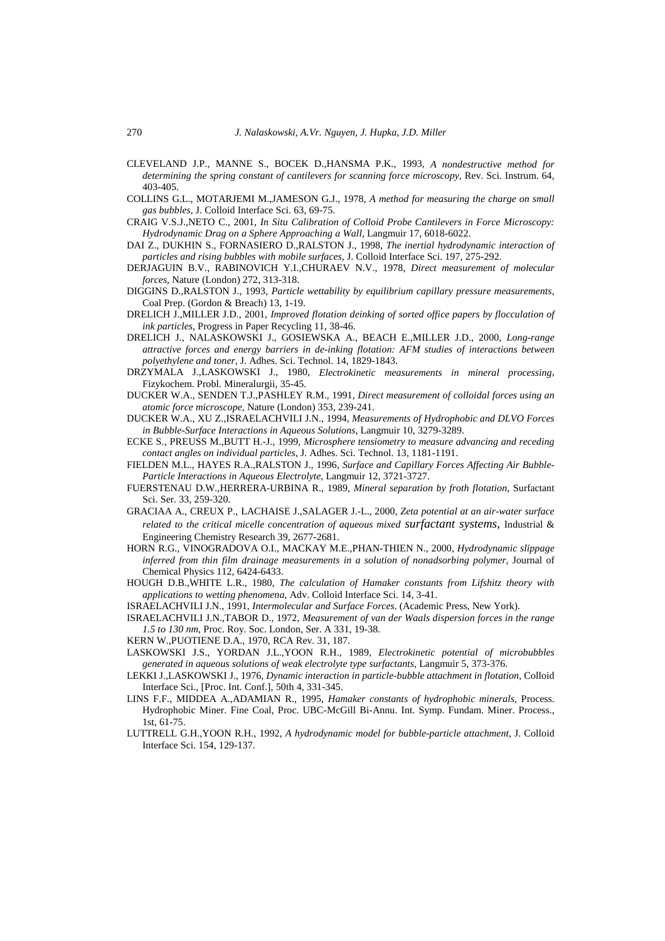- CLEVELAND J.P., MANNE S., BOCEK D.,HANSMA P.K., 1993, *A nondestructive method for determining the spring constant of cantilevers for scanning force microscopy*, Rev. Sci. Instrum. 64, 403-405.
- COLLINS G.L., MOTARJEMI M.,JAMESON G.J., 1978, *A method for measuring the charge on small gas bubbles*, J. Colloid Interface Sci. 63, 69-75.
- CRAIG V.S.J.,NETO C., 2001, *In Situ Calibration of Colloid Probe Cantilevers in Force Microscopy: Hydrodynamic Drag on a Sphere Approaching a Wall*, Langmuir 17, 6018-6022.
- DAI Z., DUKHIN S., FORNASIERO D.,RALSTON J., 1998, *The inertial hydrodynamic interaction of particles and rising bubbles with mobile surfaces*, J. Colloid Interface Sci. 197, 275-292.
- DERJAGUIN B.V., RABINOVICH Y.I.,CHURAEV N.V., 1978, *Direct measurement of molecular forces*, Nature (London) 272, 313-318.
- DIGGINS D.,RALSTON J., 1993, *Particle wettability by equilibrium capillary pressure measurements*, Coal Prep. (Gordon & Breach) 13, 1-19.
- DRELICH J.,MILLER J.D., 2001, *Improved flotation deinking of sorted office papers by flocculation of ink particles*, Progress in Paper Recycling 11, 38-46.
- DRELICH J., NALASKOWSKI J., GOSIEWSKA A., BEACH E.,MILLER J.D., 2000, *Long-range attractive forces and energy barriers in de-inking flotation: AFM studies of interactions between polyethylene and toner*, J. Adhes. Sci. Technol. 14, 1829-1843.
- DRZYMALA J.,LASKOWSKI J., 1980, *Electrokinetic measurements in mineral processing*, Fizykochem. Probl. Mineralurgii, 35-45.
- DUCKER W.A., SENDEN T.J.,PASHLEY R.M., 1991, *Direct measurement of colloidal forces using an atomic force microscope*, Nature (London) 353, 239-241.
- DUCKER W.A., XU Z.,ISRAELACHVILI J.N., 1994, *Measurements of Hydrophobic and DLVO Forces in Bubble-Surface Interactions in Aqueous Solutions*, Langmuir 10, 3279-3289.
- ECKE S., PREUSS M.,BUTT H.-J., 1999, *Microsphere tensiometry to measure advancing and receding contact angles on individual particles*, J. Adhes. Sci. Technol. 13, 1181-1191.
- FIELDEN M.L., HAYES R.A.,RALSTON J., 1996, *Surface and Capillary Forces Affecting Air Bubble-Particle Interactions in Aqueous Electrolyte*, Langmuir 12, 3721-3727.
- FUERSTENAU D.W.,HERRERA-URBINA R., 1989, *Mineral separation by froth flotation*, Surfactant Sci. Ser. 33, 259-320.
- GRACIAA A., CREUX P., LACHAISE J.,SALAGER J.-L., 2000, *Zeta potential at an air-water surface related to the critical micelle concentration of aqueous mixed surfactant systems*, Industrial & Engineering Chemistry Research 39, 2677-2681.
- HORN R.G., VINOGRADOVA O.I., MACKAY M.E.,PHAN-THIEN N., 2000, *Hydrodynamic slippage inferred from thin film drainage measurements in a solution of nonadsorbing polymer*, Journal of Chemical Physics 112, 6424-6433.
- HOUGH D.B.,WHITE L.R., 1980, *The calculation of Hamaker constants from Lifshitz theory with applications to wetting phenomena*, Adv. Colloid Interface Sci. 14, 3-41.
- ISRAELACHVILI J.N., 1991, *Intermolecular and Surface Forces*. (Academic Press, New York).
- ISRAELACHVILI J.N.,TABOR D., 1972, *Measurement of van der Waals dispersion forces in the range 1.5 to 130 nm*, Proc. Roy. Soc. London, Ser. A 331, 19-38.
- KERN W.,PUOTIENE D.A., 1970, RCA Rev. 31, 187.
- LASKOWSKI J.S., YORDAN J.L.,YOON R.H., 1989, *Electrokinetic potential of microbubbles generated in aqueous solutions of weak electrolyte type surfactants*, Langmuir 5, 373-376.
- LEKKI J.,LASKOWSKI J., 1976, *Dynamic interaction in particle-bubble attachment in flotation*, Colloid Interface Sci., [Proc. Int. Conf.], 50th 4, 331-345.
- LINS F.F., MIDDEA A.,ADAMIAN R., 1995, *Hamaker constants of hydrophobic minerals*, Process. Hydrophobic Miner. Fine Coal, Proc. UBC-McGill Bi-Annu. Int. Symp. Fundam. Miner. Process., 1st, 61-75.
- LUTTRELL G.H.,YOON R.H., 1992, *A hydrodynamic model for bubble-particle attachment*, J. Colloid Interface Sci. 154, 129-137.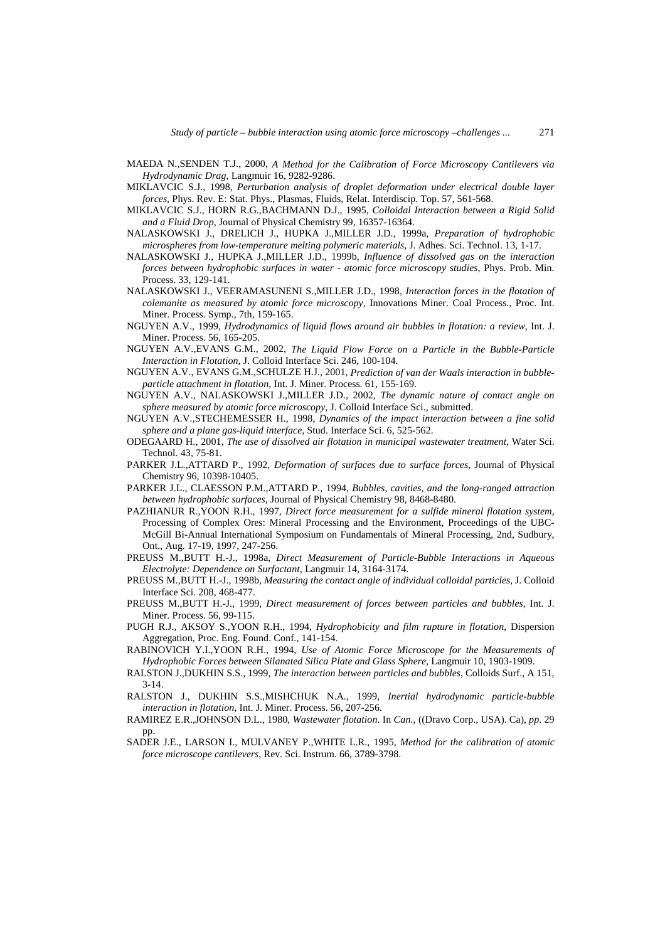- MAEDA N.,SENDEN T.J., 2000, *A Method for the Calibration of Force Microscopy Cantilevers via Hydrodynamic Drag*, Langmuir 16, 9282-9286.
- MIKLAVCIC S.J., 1998, *Perturbation analysis of droplet deformation under electrical double layer forces*, Phys. Rev. E: Stat. Phys., Plasmas, Fluids, Relat. Interdiscip. Top. 57, 561-568.
- MIKLAVCIC S.J., HORN R.G.,BACHMANN D.J., 1995, *Colloidal Interaction between a Rigid Solid and a Fluid Drop*, Journal of Physical Chemistry 99, 16357-16364.
- NALASKOWSKI J., DRELICH J., HUPKA J.,MILLER J.D., 1999a, *Preparation of hydrophobic microspheres from low-temperature melting polymeric materials*, J. Adhes. Sci. Technol. 13, 1-17.
- NALASKOWSKI J., HUPKA J.,MILLER J.D., 1999b, *Influence of dissolved gas on the interaction forces between hydrophobic surfaces in water - atomic force microscopy studies*, Phys. Prob. Min. Process. 33, 129-141.
- NALASKOWSKI J., VEERAMASUNENI S.,MILLER J.D., 1998, *Interaction forces in the flotation of colemanite as measured by atomic force microscopy*, Innovations Miner. Coal Process., Proc. Int. Miner. Process. Symp., 7th, 159-165.
- NGUYEN A.V., 1999, *Hydrodynamics of liquid flows around air bubbles in flotation: a review*, Int. J. Miner. Process. 56, 165-205.
- NGUYEN A.V.,EVANS G.M., 2002, *The Liquid Flow Force on a Particle in the Bubble-Particle Interaction in Flotation*, J. Colloid Interface Sci. 246, 100-104.
- NGUYEN A.V., EVANS G.M.,SCHULZE H.J., 2001, *Prediction of van der Waals interaction in bubbleparticle attachment in flotation*, Int. J. Miner. Process. 61, 155-169.
- NGUYEN A.V., NALASKOWSKI J.,MILLER J.D., 2002, *The dynamic nature of contact angle on sphere measured by atomic force microscopy*, J. Colloid Interface Sci., submitted.
- NGUYEN A.V.,STECHEMESSER H., 1998, *Dynamics of the impact interaction between a fine solid sphere and a plane gas-liquid interface*, Stud. Interface Sci. 6, 525-562.
- ODEGAARD H., 2001, *The use of dissolved air flotation in municipal wastewater treatment*, Water Sci. Technol. 43, 75-81.
- PARKER J.L.,ATTARD P., 1992, *Deformation of surfaces due to surface forces*, Journal of Physical Chemistry 96, 10398-10405.
- PARKER J.L., CLAESSON P.M.,ATTARD P., 1994, *Bubbles, cavities, and the long-ranged attraction between hydrophobic surfaces*, Journal of Physical Chemistry 98, 8468-8480.
- PAZHIANUR R.,YOON R.H., 1997, *Direct force measurement for a sulfide mineral flotation system*, Processing of Complex Ores: Mineral Processing and the Environment, Proceedings of the UBC-McGill Bi-Annual International Symposium on Fundamentals of Mineral Processing, 2nd, Sudbury, Ont., Aug. 17-19, 1997, 247-256.
- PREUSS M.,BUTT H.-J., 1998a, *Direct Measurement of Particle-Bubble Interactions in Aqueous Electrolyte: Dependence on Surfactant*, Langmuir 14, 3164-3174.
- PREUSS M.,BUTT H.-J., 1998b, *Measuring the contact angle of individual colloidal particles*, J. Colloid Interface Sci. 208, 468-477.
- PREUSS M.,BUTT H.-J., 1999, *Direct measurement of forces between particles and bubbles*, Int. J. Miner. Process. 56, 99-115.
- PUGH R.J., AKSOY S.,YOON R.H., 1994, *Hydrophobicity and film rupture in flotation*, Dispersion Aggregation, Proc. Eng. Found. Conf., 141-154.
- RABINOVICH Y.I.,YOON R.H., 1994, *Use of Atomic Force Microscope for the Measurements of Hydrophobic Forces between Silanated Silica Plate and Glass Sphere*, Langmuir 10, 1903-1909.
- RALSTON J.,DUKHIN S.S., 1999, *The interaction between particles and bubbles*, Colloids Surf., A 151, 3-14.
- RALSTON J., DUKHIN S.S.,MISHCHUK N.A., 1999, *Inertial hydrodynamic particle-bubble interaction in flotation*, Int. J. Miner. Process. 56, 207-256.
- RAMIREZ E.R.,JOHNSON D.L., 1980, *Wastewater flotation*. In *Can.,* ((Dravo Corp., USA). Ca), *pp*. 29 pp.
- SADER J.E., LARSON I., MULVANEY P.,WHITE L.R., 1995, *Method for the calibration of atomic force microscope cantilevers*, Rev. Sci. Instrum. 66, 3789-3798.